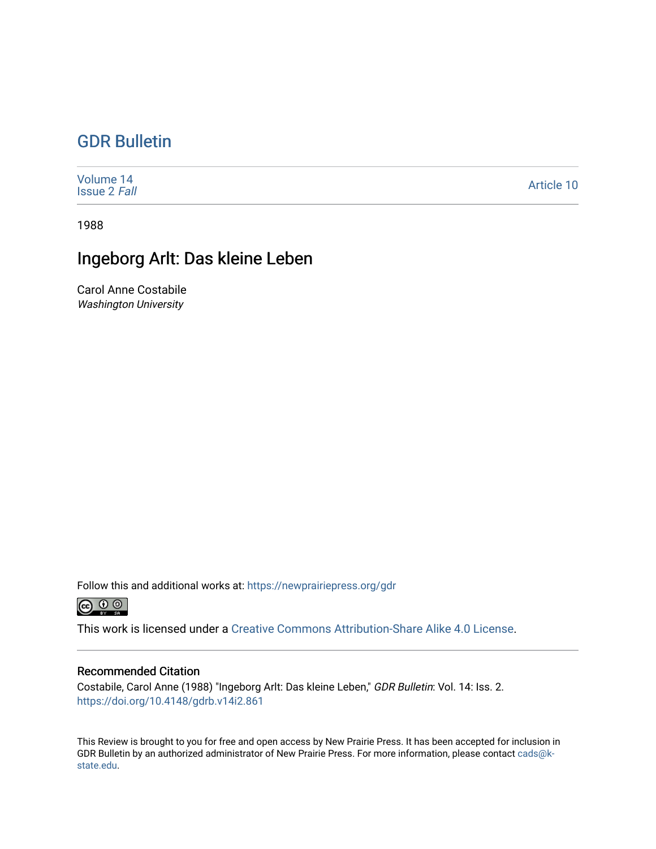## [GDR Bulletin](https://newprairiepress.org/gdr)

| Volume 14<br><b>Issue 2 Fall</b> | Article 10 |
|----------------------------------|------------|
|----------------------------------|------------|

1988

## Ingeborg Arlt: Das kleine Leben

Carol Anne Costabile Washington University

Follow this and additional works at: [https://newprairiepress.org/gdr](https://newprairiepress.org/gdr?utm_source=newprairiepress.org%2Fgdr%2Fvol14%2Fiss2%2F10&utm_medium=PDF&utm_campaign=PDFCoverPages) 



This work is licensed under a [Creative Commons Attribution-Share Alike 4.0 License.](https://creativecommons.org/licenses/by-sa/4.0/)

## Recommended Citation

Costabile, Carol Anne (1988) "Ingeborg Arlt: Das kleine Leben," GDR Bulletin: Vol. 14: Iss. 2. <https://doi.org/10.4148/gdrb.v14i2.861>

This Review is brought to you for free and open access by New Prairie Press. It has been accepted for inclusion in GDR Bulletin by an authorized administrator of New Prairie Press. For more information, please contact [cads@k](mailto:cads@k-state.edu)[state.edu](mailto:cads@k-state.edu).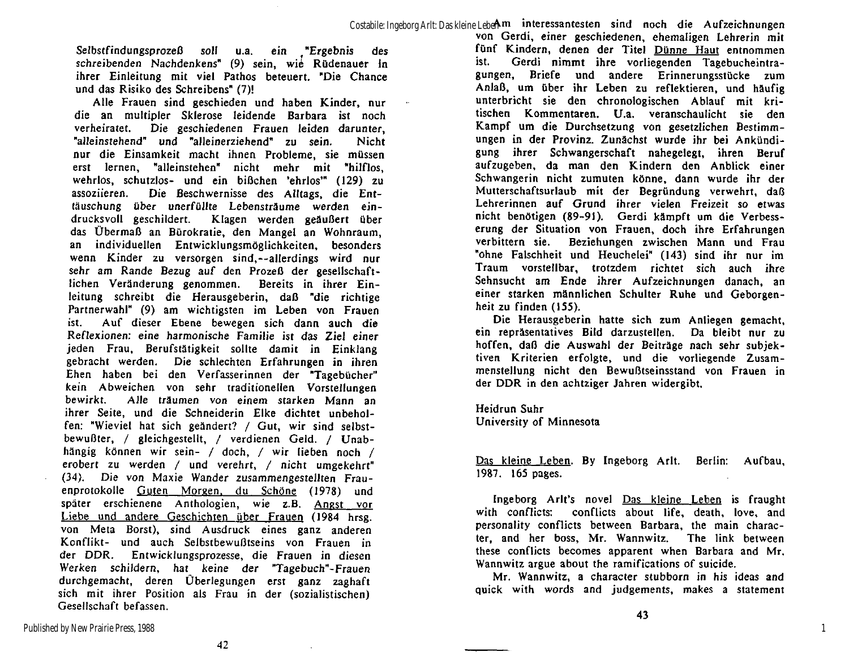Selbstfindungsprozeß soll u.a. ein "Ergebnis des schreibenden Nachdenkens" (9) sein, wie Rüdenauer in ihrer Einleitung mit viel Pathos beteuert. "Die Chance und das Risiko des Schreibens" (7)!

Alle Frauen sind geschieden und haben Kinder, nur die an multipler Sklerose leidende Barbara ist noch verheiratet. Die geschiedenen Frauen leiden darunter, "alleinstehend" und "alleinerziehend" zu sein. Nicht nur die Einsamkeit macht ihnen Probleme, sie müssen erst lernen, "alleinstehen" nicht mehr mit "hilflos, wehrlos, schutzlos- und ein bißchen 'ehrlos'" (129) zu assoziieren. Die Beschwernisse des Alltags, die Enttäuschung über unerfüllte Lebensträume werden eindrucksvoll geschildert. Klagen werden geäußert über das Übermaß an Bürokratie, den Mangel an Wohnraum, an individuellen Entwicklungsmöglichkeiten, besonders wenn Kinder zu versorgen sind,—allerdings wird nur sehr am Rande Bezug auf den Prozeß der gesellschaftlichen Veränderung genommen. Bereits in ihrer Einleitung schreibt die Herausgeberin, daß "die richtige Partnerwahl" (9) am wichtigsten im Leben von Frauen ist. Auf dieser Ebene bewegen sich dann auch die Reflexionen: eine harmonische Familie ist das Ziel einer jeden Frau, Berufstätigkeit sollte damit in Einklang gebracht werden. Die schlechten Erfahrungen in ihren Ehen haben bei den Verfasserinnen der "Tagebücher" kein Abweichen von sehr traditionellen Vorstellungen bewirkt. Alle träumen von einem starken Mann an ihrer Seite, und die Schneiderin Elke dichtet unbeholfen: "Wieviel hat sich geändert? / Gut, wir sind selbstbewußter, / gleichgestellt, / verdienen Geld. / Unabhängig können wir sein- / doch, / wir lieben noch / erobert zu werden / und verehrt, / nicht umgekehrt" (34). Die von Maxie Wander zusammengestellten Frauenprotokolle Guten Morgen, du Schöne (1978) und später erschienene Anthologien, wie z.B. Angst vor Liebe und andere Geschichten über Frauen (1984 hrsg. von Meta Borst), sind Ausdruck eines ganz anderen Konflikt- und auch Selbstbewußtseins von Frauen in der DDR. Entwicklungsprozesse, die Frauen in diesen Werken schildern, hat keine der "Tagebuch"-Frauen durchgemacht, deren Überlegungen erst ganz zaghaft sich mit ihrer Position als Frau in der (sozialistischen) Gesellschaft befassen.

*42* 

von Gerdi, einer geschiedenen, ehemaligen Lehrerin mit fünf Kindern, denen der Titel Dünne Haut entnommen ist. Gerdi nimmt ihre vorliegenden Tagebucheintragungen, Briefe und andere Erinnerungsstücke zum Anlaß, um über ihr Leben zu reflektieren, und häufig unterbricht sie den chronologischen Ablauf mit kritischen Kommentaren. U.a. veranschaulicht sie den Kampf um die Durchsetzung von gesetzlichen Bestimmungen in der Provinz. Zunächst wurde ihr bei Ankündigung ihrer Schwangerschaft nahegelegt, ihren Beruf aufzugeben, da man den Kindern den Anblick einer Schwangerin nicht zumuten könne, dann wurde ihr der Mutterschaftsurlaub mit der Begründung verwehrt, daß Lehrerinnen auf Grund ihrer vielen Freizeit so etwas nicht benötigen (89-91). Gerdi kämpft um die Verbesserung der Situation von Frauen, doch ihre Erfahrungen verbittern sie. Beziehungen zwischen Mann und Frau "ohne Falschheit und Heuchelei" (143) sind ihr nur im Traum vorstellbar, trotzdem richtet sich auch ihre Sehnsucht am Ende ihrer Aufzeichnungen danach, an einer starken männlichen Schulter Ruhe und Geborgenheit zu finden (155).

Die Herausgeberin hatte sich zum Anliegen gemacht, ein repräsentatives Bild darzustellen. Da bleibt nur zu hoffen, daß die Auswahl der Beiträge nach sehr subjektiven Kriterien erfolgte, und die vorliegende Zusammenstellung nicht den Bewußtseinsstand von Frauen in der DDR in den achtziger Jahren widergibt.

Heidrun Suhr University of Minnesota

Das kleine Leben. By Ingeborg Arlt. Berlin: Aufbau, 1987. 165 pages.

Ingeborg Arlt's novel  $Das$  kleine Leben is fraught with conflicts: conflicts about life, death, love, and personality conflicts between Barbara, the main character, and her boss, Mr. Wannwitz. The link between these conflicts becomes apparent when Barbara and Mr. Wannwitz argue about the ramifications of suicide.

Mr. Wannwitz, a character stubborn in his ideas and quick with words and judgements, makes a statement

1